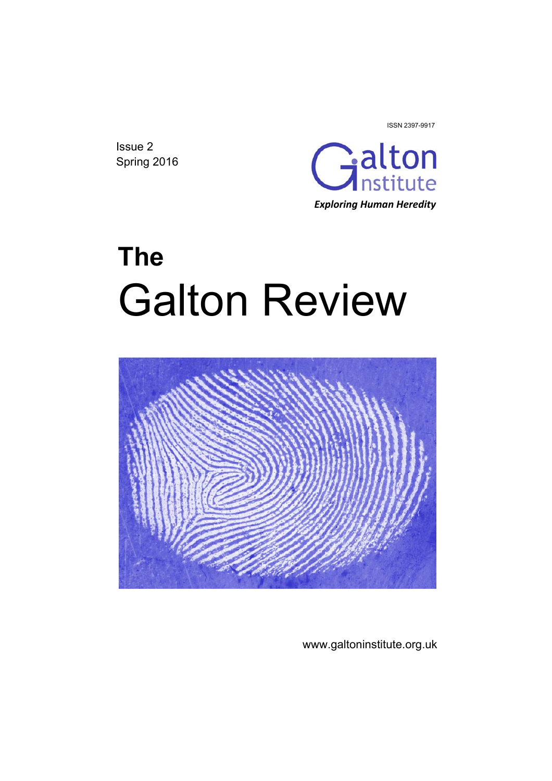Issue 2 Spring 2016



ISSN 2397-9917

# **The**  Galton Review



www.galtoninstitute.org.uk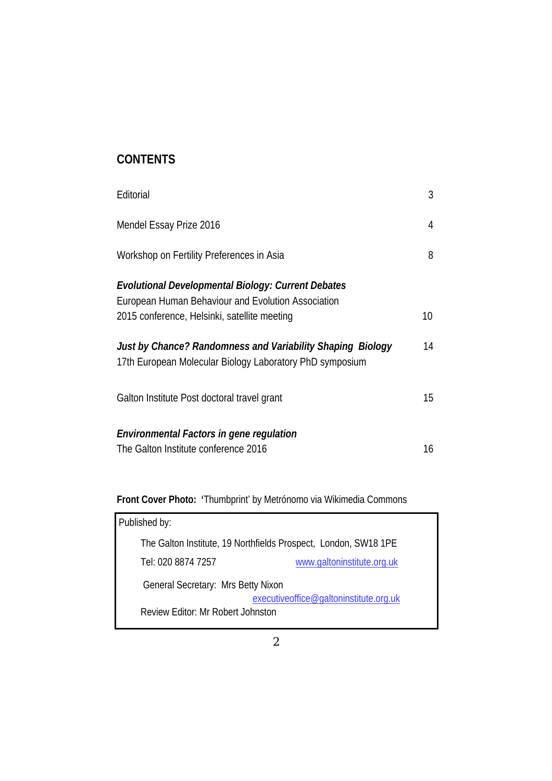# **CONTENTS**

| Editorial                                                                                                              | 3  |
|------------------------------------------------------------------------------------------------------------------------|----|
| Mendel Essay Prize 2016                                                                                                | 4  |
| Workshop on Fertility Preferences in Asia                                                                              | 8  |
| Evolutional Developmental Biology: Current Debates<br>European Human Behaviour and Evolution Association               |    |
| 2015 conference, Helsinki, satellite meeting                                                                           | 10 |
| Just by Chance? Randomness and Variability Shaping Biology<br>17th European Molecular Biology Laboratory PhD symposium | 14 |
| Galton Institute Post doctoral travel grant                                                                            | 15 |
| <b>Environmental Factors in gene regulation</b><br>The Galton Institute conference 2016                                | 16 |
|                                                                                                                        |    |

**Front Cover Photo: '**Thumbprint' by Metrónomo via Wikimedia Commons

| Published by:                                                   |                                        |
|-----------------------------------------------------------------|----------------------------------------|
| The Galton Institute, 19 Northfields Prospect, London, SW18 1PE |                                        |
| Tel: 020 8874 7257                                              | www.galtoninstitute.org.uk             |
| General Secretary: Mrs Betty Nixon                              |                                        |
|                                                                 | executiveoffice@galtoninstitute.org.uk |
| Review Editor: Mr Robert Johnston                               |                                        |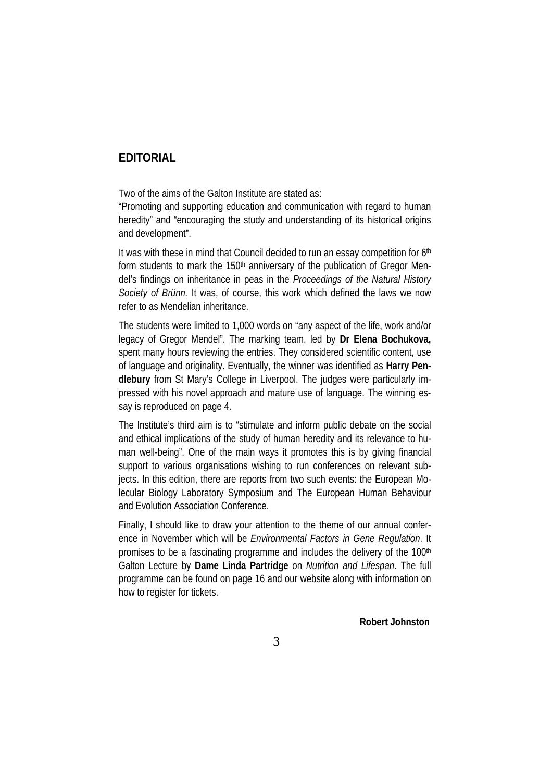## **EDITORIAL**

Two of the aims of the Galton Institute are stated as:

"Promoting and supporting education and communication with regard to human heredity" and "encouraging the study and understanding of its historical origins and development".

It was with these in mind that Council decided to run an essay competition for 6<sup>th</sup> form students to mark the 150<sup>th</sup> anniversary of the publication of Gregor Mendel's findings on inheritance in peas in the *Proceedings of the Natural History Society of Brünn.* It was, of course, this work which defined the laws we now refer to as Mendelian inheritance.

The students were limited to 1,000 words on "any aspect of the life, work and/or legacy of Gregor Mendel". The marking team, led by **Dr Elena Bochukova,** spent many hours reviewing the entries. They considered scientific content, use of language and originality. Eventually, the winner was identified as **Harry Pendlebury** from St Mary's College in Liverpool. The judges were particularly impressed with his novel approach and mature use of language. The winning essay is reproduced on page 4.

The Institute's third aim is to "stimulate and inform public debate on the social and ethical implications of the study of human heredity and its relevance to human well-being". One of the main ways it promotes this is by giving financial support to various organisations wishing to run conferences on relevant subjects. In this edition, there are reports from two such events: the European Molecular Biology Laboratory Symposium and The European Human Behaviour and Evolution Association Conference.

Finally, I should like to draw your attention to the theme of our annual conference in November which will be *Environmental Factors in Gene Regulation*. It promises to be a fascinating programme and includes the delivery of the 100<sup>th</sup> Galton Lecture by **Dame Linda Partridge** on *Nutrition and Lifespan*. The full programme can be found on page 16 and our website along with information on how to register for tickets.

**Robert Johnston**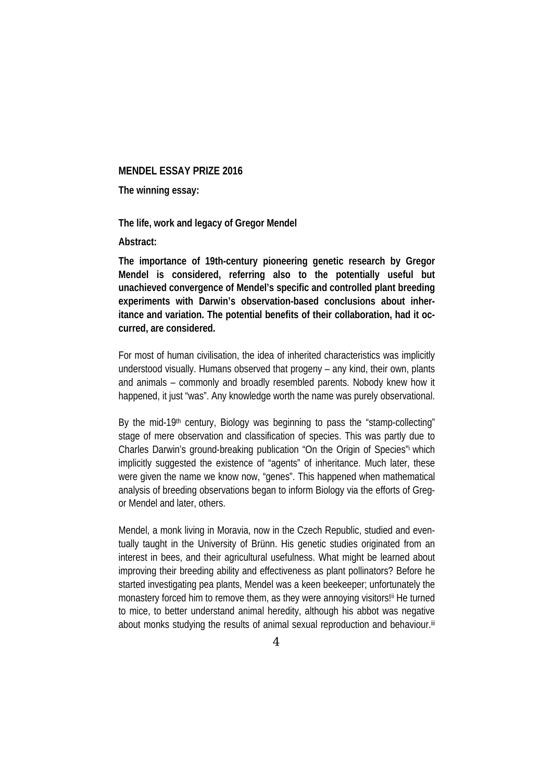#### **MENDEL ESSAY PRIZE 2016**

**The winning essay:** 

**The life, work and legacy of Gregor Mendel** 

**Abstract:** 

**The importance of 19th-century pioneering genetic research by Gregor Mendel is considered, referring also to the potentially useful but unachieved convergence of Mendel's specific and controlled plant breeding experiments with Darwin's observation-based conclusions about inheritance and variation. The potential benefits of their collaboration, had it occurred, are considered.** 

For most of human civilisation, the idea of inherited characteristics was implicitly understood visually. Humans observed that progeny – any kind, their own, plants and animals – commonly and broadly resembled parents. Nobody knew how it happened, it just "was". Any knowledge worth the name was purely observational.

By the mid-19<sup>th</sup> century, Biology was beginning to pass the "stamp-collecting" stage of mere observation and classification of species. This was partly due to Charles Darwin's ground-breaking publication "On the Origin of Species"i which implicitly suggested the existence of "agents" of inheritance. Much later, these were given the name we know now, "genes". This happened when mathematical analysis of breeding observations began to inform Biology via the efforts of Gregor Mendel and later, others.

Mendel, a monk living in Moravia, now in the Czech Republic, studied and eventually taught in the University of Brünn. His genetic studies originated from an interest in bees, and their agricultural usefulness. What might be learned about improving their breeding ability and effectiveness as plant pollinators? Before he started investigating pea plants, Mendel was a keen beekeeper; unfortunately the monastery forced him to remove them, as they were annoying visitors!<sup>ii</sup> He turned to mice, to better understand animal heredity, although his abbot was negative about monks studying the results of animal sexual reproduction and behaviour.<sup>iii</sup>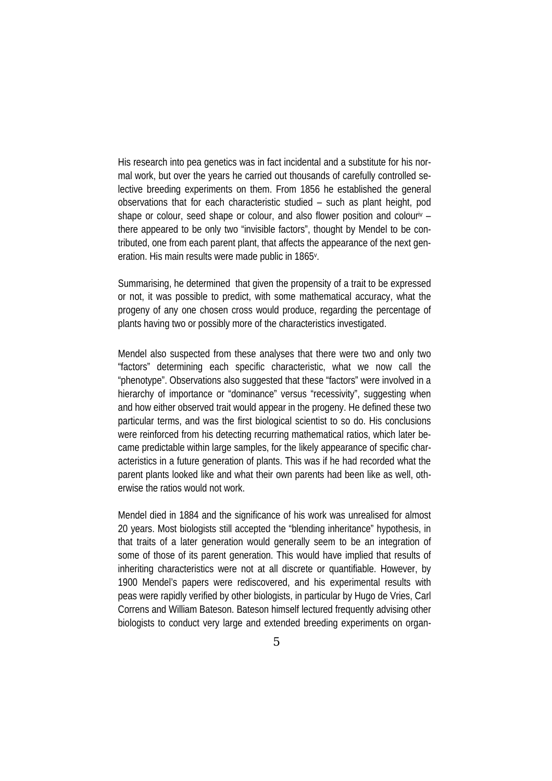His research into pea genetics was in fact incidental and a substitute for his normal work, but over the years he carried out thousands of carefully controlled selective breeding experiments on them. From 1856 he established the general observations that for each characteristic studied – such as plant height, pod shape or colour, seed shape or colour, and also flower position and colouriv – there appeared to be only two "invisible factors", thought by Mendel to be contributed, one from each parent plant, that affects the appearance of the next generation. His main results were made public in 1865v.

Summarising, he determined that given the propensity of a trait to be expressed or not, it was possible to predict, with some mathematical accuracy, what the progeny of any one chosen cross would produce, regarding the percentage of plants having two or possibly more of the characteristics investigated.

Mendel also suspected from these analyses that there were two and only two "factors" determining each specific characteristic, what we now call the "phenotype". Observations also suggested that these "factors" were involved in a hierarchy of importance or "dominance" versus "recessivity", suggesting when and how either observed trait would appear in the progeny. He defined these two particular terms, and was the first biological scientist to so do. His conclusions were reinforced from his detecting recurring mathematical ratios, which later became predictable within large samples, for the likely appearance of specific characteristics in a future generation of plants. This was if he had recorded what the parent plants looked like and what their own parents had been like as well, otherwise the ratios would not work.

Mendel died in 1884 and the significance of his work was unrealised for almost 20 years. Most biologists still accepted the "blending inheritance" hypothesis, in that traits of a later generation would generally seem to be an integration of some of those of its parent generation. This would have implied that results of inheriting characteristics were not at all discrete or quantifiable. However, by 1900 Mendel's papers were rediscovered, and his experimental results with peas were rapidly verified by other biologists, in particular by Hugo de Vries, Carl Correns and William Bateson. Bateson himself lectured frequently advising other biologists to conduct very large and extended breeding experiments on organ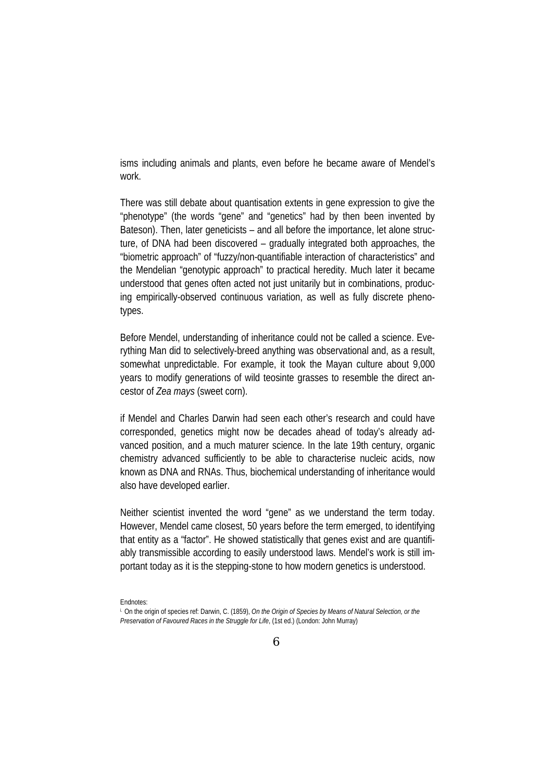isms including animals and plants, even before he became aware of Mendel's work.

There was still debate about quantisation extents in gene expression to give the "phenotype" (the words "gene" and "genetics" had by then been invented by Bateson). Then, later geneticists – and all before the importance, let alone structure, of DNA had been discovered – gradually integrated both approaches, the "biometric approach" of "fuzzy/non-quantifiable interaction of characteristics" and the Mendelian "genotypic approach" to practical heredity. Much later it became understood that genes often acted not just unitarily but in combinations, producing empirically-observed continuous variation, as well as fully discrete phenotypes.

Before Mendel, understanding of inheritance could not be called a science. Everything Man did to selectively-breed anything was observational and, as a result, somewhat unpredictable. For example, it took the Mayan culture about 9,000 years to modify generations of wild teosinte grasses to resemble the direct ancestor of *Zea mays* (sweet corn).

if Mendel and Charles Darwin had seen each other's research and could have corresponded, genetics might now be decades ahead of today's already advanced position, and a much maturer science. In the late 19th century, organic chemistry advanced sufficiently to be able to characterise nucleic acids, now known as DNA and RNAs. Thus, biochemical understanding of inheritance would also have developed earlier.

Neither scientist invented the word "gene" as we understand the term today. However, Mendel came closest, 50 years before the term emerged, to identifying that entity as a "factor". He showed statistically that genes exist and are quantifiably transmissible according to easily understood laws. Mendel's work is still important today as it is the stepping-stone to how modern genetics is understood.

Endnotes:

i. On the origin of species ref: Darwin, C. (1859), *On the Origin of Species by Means of Natural Selection, or the Preservation of Favoured Races in the Struggle for Life*, (1st ed.) (London: John Murray)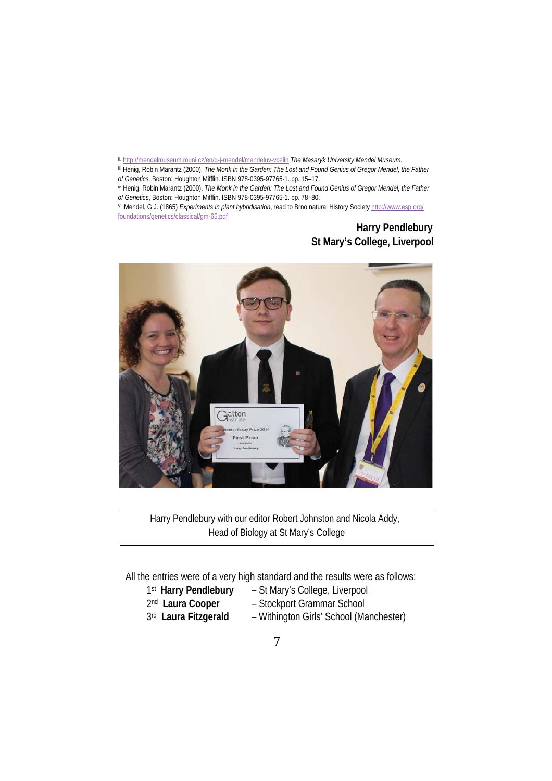ii. http://mendelmuseum.muni.cz/en/g-j-mendel/mendeluv-vcelin The Masaryk University Mendel Museum.

iii. Henig, Robin Marantz (2000). *The Monk in the Garden: The Lost and Found Genius of Gregor Mendel, the Father of Genetics,* Boston: Houghton Mifflin. ISBN 978-0395-97765-1. pp. 15–17.

iv. Henig, Robin Marantz (2000). *The Monk in the Garden: The Lost and Found Genius of Gregor Mendel, the Father of Genetics*, Boston: Houghton Mifflin. ISBN 978-0395-97765-1. pp. 78–80.

V. Mendel, G J. (1865) *Experiments in plant hybridisation*, read to Brno natural History Society http://www.esp.org/ foundations/genetics/classical/gm-65.pdf

## **Harry Pendlebury St Mary's College, Liverpool**



 Harry Pendlebury with our editor Robert Johnston and Nicola Addy, Head of Biology at St Mary's College

All the entries were of a very high standard and the results were as follows:

- 
- 1st **Harry Pendlebury** St Mary's College, Liverpool
- 
- 2nd **Laura Cooper** Stockport Grammar School
	-
- 
- 3rd **Laura Fitzgerald** Withington Girls' School (Manchester)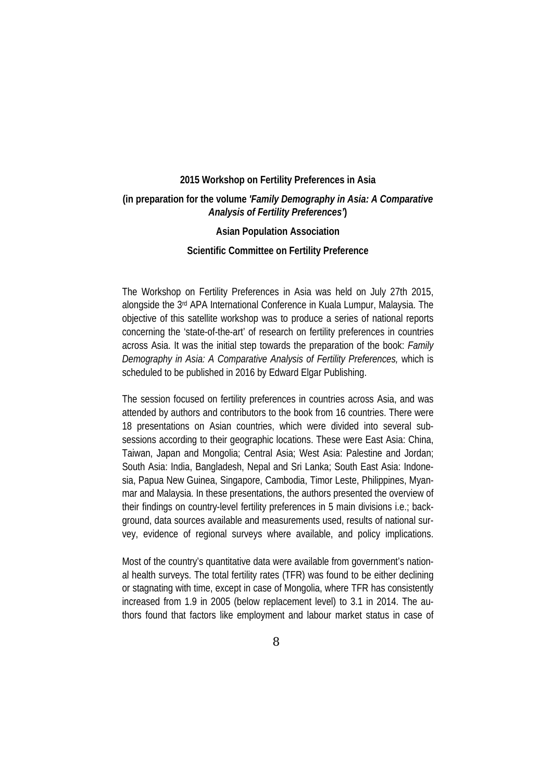#### **2015 Workshop on Fertility Preferences in Asia**

## **(in preparation for the volume** *'Family Demography in Asia: A Comparative Analysis of Fertility Preferences'***)**

#### **Asian Population Association**

#### **Scientific Committee on Fertility Preference**

The Workshop on Fertility Preferences in Asia was held on July 27th 2015, alongside the 3rd APA International Conference in Kuala Lumpur, Malaysia. The objective of this satellite workshop was to produce a series of national reports concerning the 'state-of-the-art' of research on fertility preferences in countries across Asia. It was the initial step towards the preparation of the book: *Family Demography in Asia: A Comparative Analysis of Fertility Preferences,* which is scheduled to be published in 2016 by Edward Elgar Publishing.

The session focused on fertility preferences in countries across Asia, and was attended by authors and contributors to the book from 16 countries. There were 18 presentations on Asian countries, which were divided into several subsessions according to their geographic locations. These were East Asia: China, Taiwan, Japan and Mongolia; Central Asia; West Asia: Palestine and Jordan; South Asia: India, Bangladesh, Nepal and Sri Lanka; South East Asia: Indonesia, Papua New Guinea, Singapore, Cambodia, Timor Leste, Philippines, Myanmar and Malaysia. In these presentations, the authors presented the overview of their findings on country-level fertility preferences in 5 main divisions i.e.; background, data sources available and measurements used, results of national survey, evidence of regional surveys where available, and policy implications.

Most of the country's quantitative data were available from government's national health surveys. The total fertility rates (TFR) was found to be either declining or stagnating with time, except in case of Mongolia, where TFR has consistently increased from 1.9 in 2005 (below replacement level) to 3.1 in 2014. The authors found that factors like employment and labour market status in case of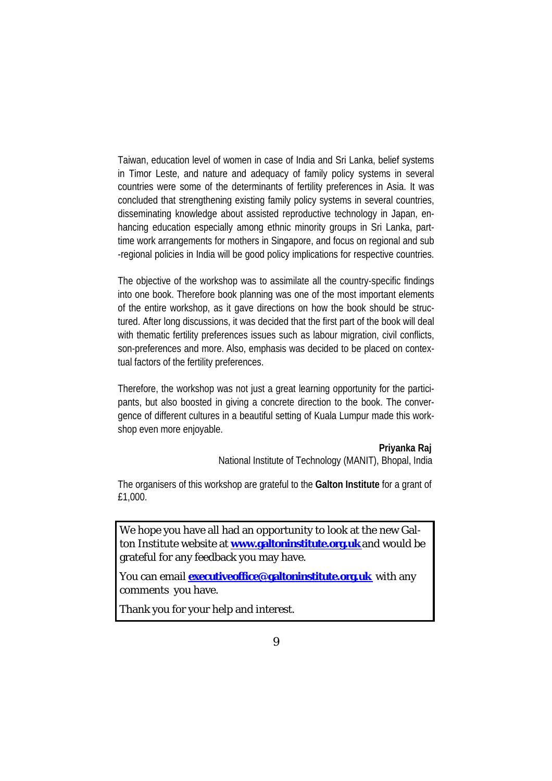Taiwan, education level of women in case of India and Sri Lanka, belief systems in Timor Leste, and nature and adequacy of family policy systems in several countries were some of the determinants of fertility preferences in Asia. It was concluded that strengthening existing family policy systems in several countries, disseminating knowledge about assisted reproductive technology in Japan, enhancing education especially among ethnic minority groups in Sri Lanka, parttime work arrangements for mothers in Singapore, and focus on regional and sub -regional policies in India will be good policy implications for respective countries.

The objective of the workshop was to assimilate all the country-specific findings into one book. Therefore book planning was one of the most important elements of the entire workshop, as it gave directions on how the book should be structured. After long discussions, it was decided that the first part of the book will deal with thematic fertility preferences issues such as labour migration, civil conflicts, son-preferences and more. Also, emphasis was decided to be placed on contextual factors of the fertility preferences.

Therefore, the workshop was not just a great learning opportunity for the participants, but also boosted in giving a concrete direction to the book. The convergence of different cultures in a beautiful setting of Kuala Lumpur made this workshop even more enjoyable.

#### **Priyanka Raj**

National Institute of Technology (MANIT), Bhopal, India

The organisers of this workshop are grateful to the **Galton Institute** for a grant of £1,000.

We hope you have all had an opportunity to look at the new Galton Institute website at **www.galtoninstitute.org.uk** and would be grateful for any feedback you may have.

You can email **executiveoffice@galtoninstitute.org.uk** with any comments you have.

Thank you for your help and interest.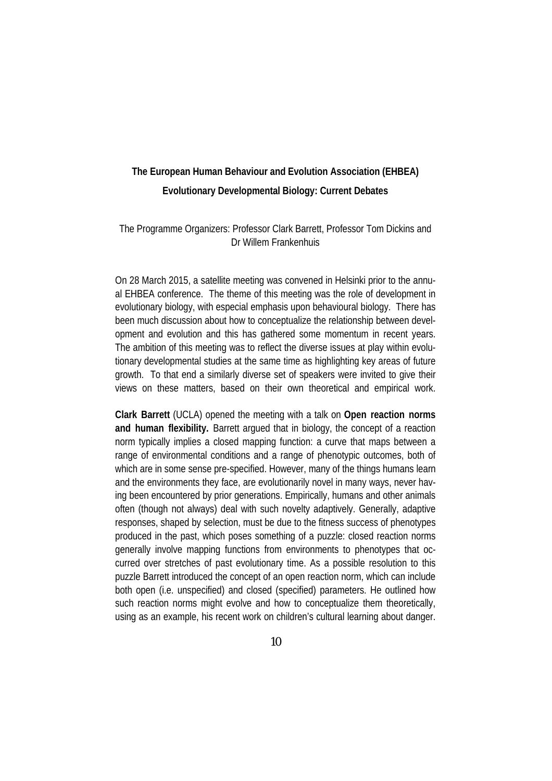# **The European Human Behaviour and Evolution Association (EHBEA) Evolutionary Developmental Biology: Current Debates**

## The Programme Organizers: Professor Clark Barrett, Professor Tom Dickins and Dr Willem Frankenhuis

On 28 March 2015, a satellite meeting was convened in Helsinki prior to the annual EHBEA conference. The theme of this meeting was the role of development in evolutionary biology, with especial emphasis upon behavioural biology. There has been much discussion about how to conceptualize the relationship between development and evolution and this has gathered some momentum in recent years. The ambition of this meeting was to reflect the diverse issues at play within evolutionary developmental studies at the same time as highlighting key areas of future growth. To that end a similarly diverse set of speakers were invited to give their views on these matters, based on their own theoretical and empirical work.

**Clark Barrett** (UCLA) opened the meeting with a talk on **Open reaction norms and human flexibility.** Barrett argued that in biology, the concept of a reaction norm typically implies a closed mapping function: a curve that maps between a range of environmental conditions and a range of phenotypic outcomes, both of which are in some sense pre-specified. However, many of the things humans learn and the environments they face, are evolutionarily novel in many ways, never having been encountered by prior generations. Empirically, humans and other animals often (though not always) deal with such novelty adaptively. Generally, adaptive responses, shaped by selection, must be due to the fitness success of phenotypes produced in the past, which poses something of a puzzle: closed reaction norms generally involve mapping functions from environments to phenotypes that occurred over stretches of past evolutionary time. As a possible resolution to this puzzle Barrett introduced the concept of an open reaction norm, which can include both open (i.e. unspecified) and closed (specified) parameters. He outlined how such reaction norms might evolve and how to conceptualize them theoretically, using as an example, his recent work on children's cultural learning about danger.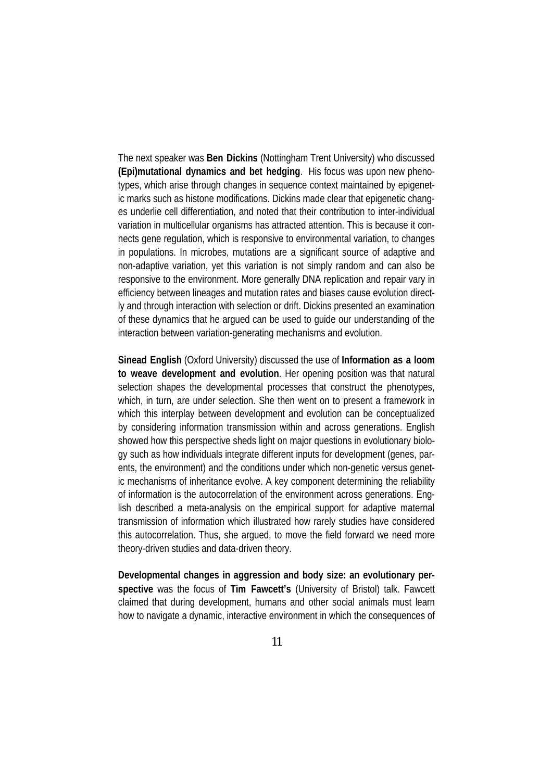The next speaker was **Ben Dickins** (Nottingham Trent University) who discussed **(Epi)mutational dynamics and bet hedging**. His focus was upon new phenotypes, which arise through changes in sequence context maintained by epigenetic marks such as histone modifications. Dickins made clear that epigenetic changes underlie cell differentiation, and noted that their contribution to inter-individual variation in multicellular organisms has attracted attention. This is because it connects gene regulation, which is responsive to environmental variation, to changes in populations. In microbes, mutations are a significant source of adaptive and non-adaptive variation, yet this variation is not simply random and can also be responsive to the environment. More generally DNA replication and repair vary in efficiency between lineages and mutation rates and biases cause evolution directly and through interaction with selection or drift. Dickins presented an examination of these dynamics that he argued can be used to guide our understanding of the interaction between variation-generating mechanisms and evolution.

**Sinead English** (Oxford University) discussed the use of **Information as a loom to weave development and evolution**. Her opening position was that natural selection shapes the developmental processes that construct the phenotypes, which, in turn, are under selection. She then went on to present a framework in which this interplay between development and evolution can be conceptualized by considering information transmission within and across generations. English showed how this perspective sheds light on major questions in evolutionary biology such as how individuals integrate different inputs for development (genes, parents, the environment) and the conditions under which non-genetic versus genetic mechanisms of inheritance evolve. A key component determining the reliability of information is the autocorrelation of the environment across generations. English described a meta-analysis on the empirical support for adaptive maternal transmission of information which illustrated how rarely studies have considered this autocorrelation. Thus, she argued, to move the field forward we need more theory-driven studies and data-driven theory.

**Developmental changes in aggression and body size: an evolutionary perspective** was the focus of **Tim Fawcett's** (University of Bristol) talk. Fawcett claimed that during development, humans and other social animals must learn how to navigate a dynamic, interactive environment in which the consequences of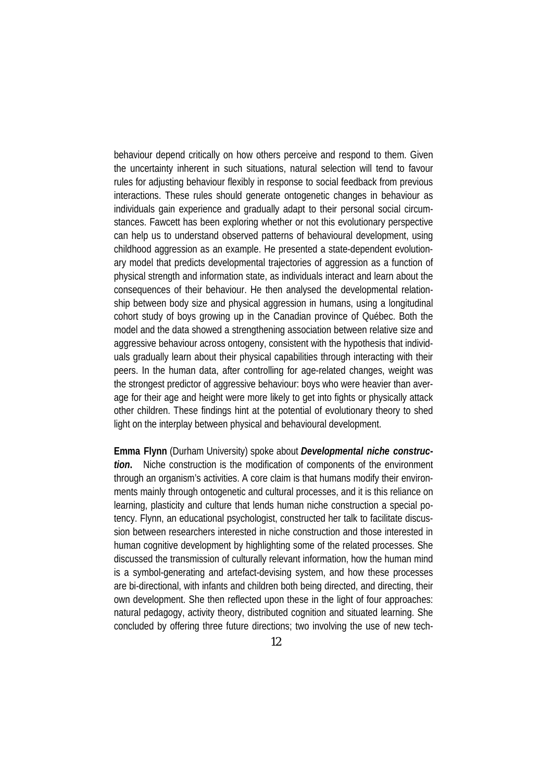behaviour depend critically on how others perceive and respond to them. Given the uncertainty inherent in such situations, natural selection will tend to favour rules for adjusting behaviour flexibly in response to social feedback from previous interactions. These rules should generate ontogenetic changes in behaviour as individuals gain experience and gradually adapt to their personal social circumstances. Fawcett has been exploring whether or not this evolutionary perspective can help us to understand observed patterns of behavioural development, using childhood aggression as an example. He presented a state-dependent evolutionary model that predicts developmental trajectories of aggression as a function of physical strength and information state, as individuals interact and learn about the consequences of their behaviour. He then analysed the developmental relationship between body size and physical aggression in humans, using a longitudinal cohort study of boys growing up in the Canadian province of Québec. Both the model and the data showed a strengthening association between relative size and aggressive behaviour across ontogeny, consistent with the hypothesis that individuals gradually learn about their physical capabilities through interacting with their peers. In the human data, after controlling for age-related changes, weight was the strongest predictor of aggressive behaviour: boys who were heavier than average for their age and height were more likely to get into fights or physically attack other children. These findings hint at the potential of evolutionary theory to shed light on the interplay between physical and behavioural development.

**Emma Flynn** (Durham University) spoke about *Developmental niche construction***.** Niche construction is the modification of components of the environment through an organism's activities. A core claim is that humans modify their environments mainly through ontogenetic and cultural processes, and it is this reliance on learning, plasticity and culture that lends human niche construction a special potency. Flynn, an educational psychologist, constructed her talk to facilitate discussion between researchers interested in niche construction and those interested in human cognitive development by highlighting some of the related processes. She discussed the transmission of culturally relevant information, how the human mind is a symbol-generating and artefact-devising system, and how these processes are bi-directional, with infants and children both being directed, and directing, their own development. She then reflected upon these in the light of four approaches: natural pedagogy, activity theory, distributed cognition and situated learning. She concluded by offering three future directions; two involving the use of new tech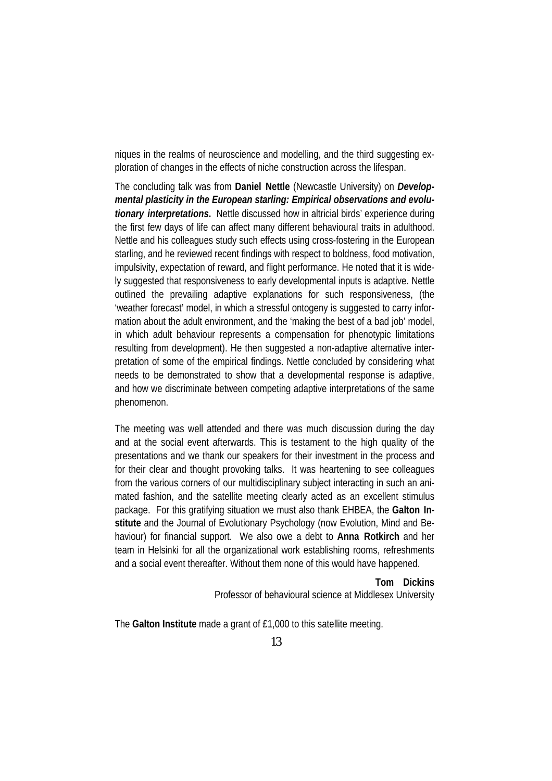niques in the realms of neuroscience and modelling, and the third suggesting exploration of changes in the effects of niche construction across the lifespan.

The concluding talk was from **Daniel Nettle** (Newcastle University) on *Developmental plasticity in the European starling: Empirical observations and evolutionary interpretations***.** Nettle discussed how in altricial birds' experience during the first few days of life can affect many different behavioural traits in adulthood. Nettle and his colleagues study such effects using cross-fostering in the European starling, and he reviewed recent findings with respect to boldness, food motivation, impulsivity, expectation of reward, and flight performance. He noted that it is widely suggested that responsiveness to early developmental inputs is adaptive. Nettle outlined the prevailing adaptive explanations for such responsiveness, (the 'weather forecast' model, in which a stressful ontogeny is suggested to carry information about the adult environment, and the 'making the best of a bad job' model, in which adult behaviour represents a compensation for phenotypic limitations resulting from development). He then suggested a non-adaptive alternative interpretation of some of the empirical findings. Nettle concluded by considering what needs to be demonstrated to show that a developmental response is adaptive, and how we discriminate between competing adaptive interpretations of the same phenomenon.

The meeting was well attended and there was much discussion during the day and at the social event afterwards. This is testament to the high quality of the presentations and we thank our speakers for their investment in the process and for their clear and thought provoking talks. It was heartening to see colleagues from the various corners of our multidisciplinary subject interacting in such an animated fashion, and the satellite meeting clearly acted as an excellent stimulus package. For this gratifying situation we must also thank EHBEA, the **Galton Institute** and the Journal of Evolutionary Psychology (now Evolution, Mind and Behaviour) for financial support. We also owe a debt to **Anna Rotkirch** and her team in Helsinki for all the organizational work establishing rooms, refreshments and a social event thereafter. Without them none of this would have happened.

> **Tom Dickins** Professor of behavioural science at Middlesex University

The **Galton Institute** made a grant of £1,000 to this satellite meeting.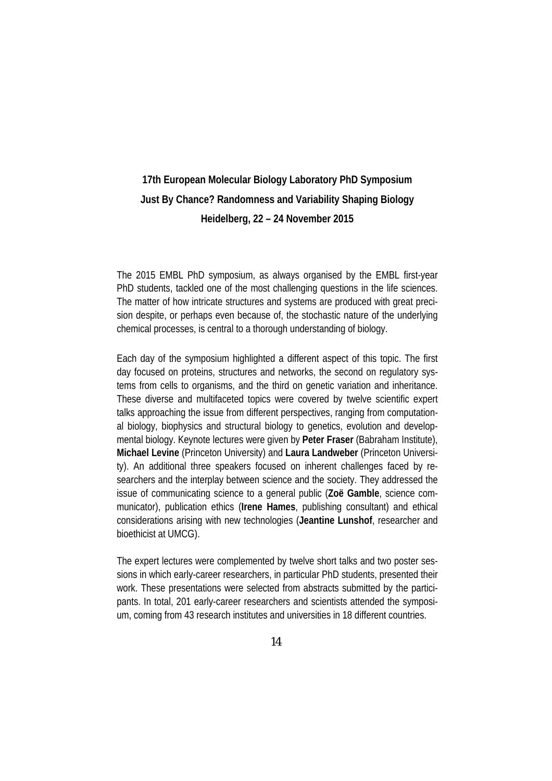# **17th European Molecular Biology Laboratory PhD Symposium Just By Chance? Randomness and Variability Shaping Biology Heidelberg, 22 – 24 November 2015**

The 2015 EMBL PhD symposium, as always organised by the EMBL first-year PhD students, tackled one of the most challenging questions in the life sciences. The matter of how intricate structures and systems are produced with great precision despite, or perhaps even because of, the stochastic nature of the underlying chemical processes, is central to a thorough understanding of biology.

Each day of the symposium highlighted a different aspect of this topic. The first day focused on proteins, structures and networks, the second on regulatory systems from cells to organisms, and the third on genetic variation and inheritance. These diverse and multifaceted topics were covered by twelve scientific expert talks approaching the issue from different perspectives, ranging from computational biology, biophysics and structural biology to genetics, evolution and developmental biology. Keynote lectures were given by **Peter Fraser** (Babraham Institute), **Michael Levine** (Princeton University) and **Laura Landweber** (Princeton University). An additional three speakers focused on inherent challenges faced by researchers and the interplay between science and the society. They addressed the issue of communicating science to a general public (**Zoë Gamble**, science communicator), publication ethics (**Irene Hames**, publishing consultant) and ethical considerations arising with new technologies (**Jeantine Lunshof**, researcher and bioethicist at UMCG).

The expert lectures were complemented by twelve short talks and two poster sessions in which early-career researchers, in particular PhD students, presented their work. These presentations were selected from abstracts submitted by the participants. In total, 201 early-career researchers and scientists attended the symposium, coming from 43 research institutes and universities in 18 different countries.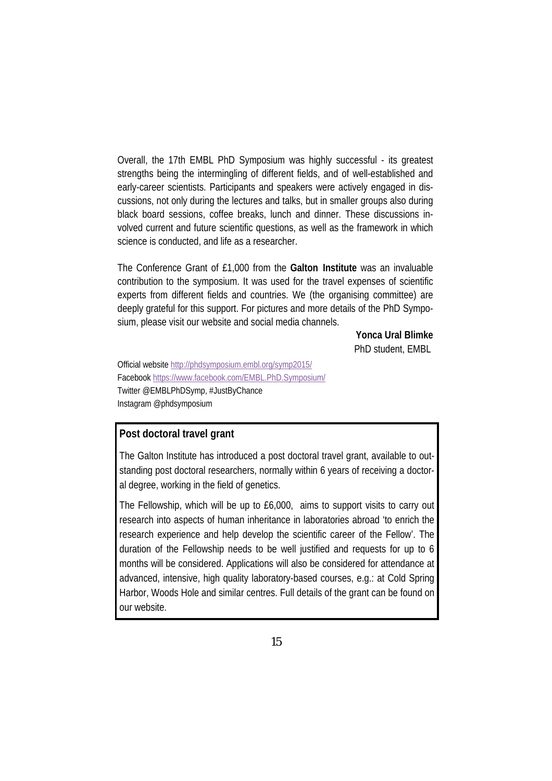Overall, the 17th EMBL PhD Symposium was highly successful - its greatest strengths being the intermingling of different fields, and of well-established and early-career scientists. Participants and speakers were actively engaged in discussions, not only during the lectures and talks, but in smaller groups also during black board sessions, coffee breaks, lunch and dinner. These discussions involved current and future scientific questions, as well as the framework in which science is conducted, and life as a researcher.

The Conference Grant of £1,000 from the **Galton Institute** was an invaluable contribution to the symposium. It was used for the travel expenses of scientific experts from different fields and countries. We (the organising committee) are deeply grateful for this support. For pictures and more details of the PhD Symposium, please visit our website and social media channels.

> **Yonca Ural Blimke** PhD student, EMBL

Official website http://phdsymposium.embl.org/symp2015/ Facebook https://www.facebook.com/EMBL.PhD.Symposium/ Twitter @EMBLPhDSymp, #JustByChance Instagram @phdsymposium

### **Post doctoral travel grant**

The Galton Institute has introduced a post doctoral travel grant, available to outstanding post doctoral researchers, normally within 6 years of receiving a doctoral degree, working in the field of genetics.

The Fellowship, which will be up to £6,000, aims to support visits to carry out research into aspects of human inheritance in laboratories abroad 'to enrich the research experience and help develop the scientific career of the Fellow'. The duration of the Fellowship needs to be well justified and requests for up to 6 months will be considered. Applications will also be considered for attendance at advanced, intensive, high quality laboratory-based courses, e.g.: at Cold Spring Harbor, Woods Hole and similar centres. Full details of the grant can be found on our website.